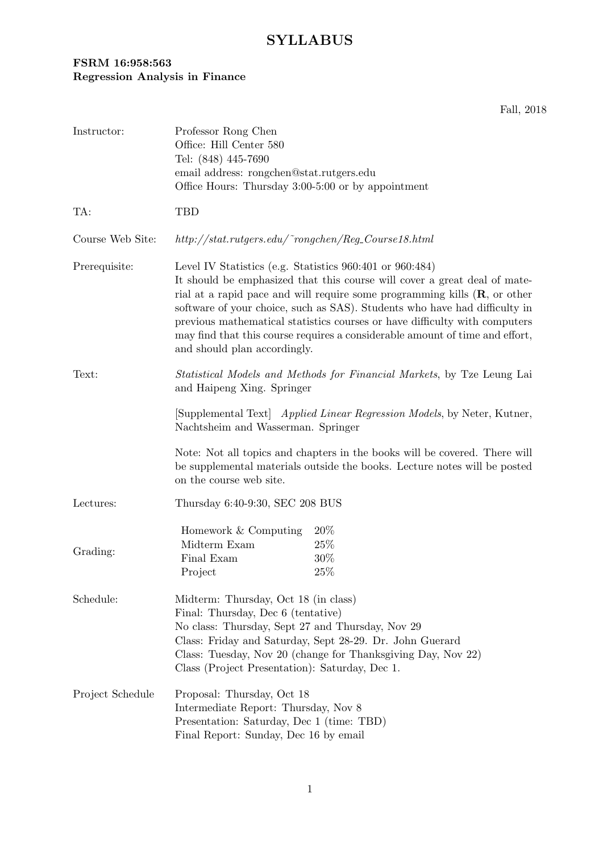## **FSRM 16:958:563 Regression Analysis in Finance**

Fall, 2018

| Instructor:      | Professor Rong Chen<br>Office: Hill Center 580<br>Tel: (848) 445-7690<br>email address: rongchen@stat.rutgers.edu<br>Office Hours: Thursday 3:00-5:00 or by appointment                                                                                                                                                                                                                                                                                                                                   |                              |
|------------------|-----------------------------------------------------------------------------------------------------------------------------------------------------------------------------------------------------------------------------------------------------------------------------------------------------------------------------------------------------------------------------------------------------------------------------------------------------------------------------------------------------------|------------------------------|
| TA:              | TBD                                                                                                                                                                                                                                                                                                                                                                                                                                                                                                       |                              |
| Course Web Site: | $http://stat.rutgers.edu/~rongchen/Reg\_Course18.html$                                                                                                                                                                                                                                                                                                                                                                                                                                                    |                              |
| Prerequisite:    | Level IV Statistics (e.g. Statistics 960:401 or 960:484)<br>It should be emphasized that this course will cover a great deal of mate-<br>rial at a rapid pace and will require some programming kills $(R, \text{ or other})$<br>software of your choice, such as SAS). Students who have had difficulty in<br>previous mathematical statistics courses or have difficulty with computers<br>may find that this course requires a considerable amount of time and effort,<br>and should plan accordingly. |                              |
| Text:            | <i>Statistical Models and Methods for Financial Markets</i> , by Tze Leung Lai<br>and Haipeng Xing. Springer                                                                                                                                                                                                                                                                                                                                                                                              |                              |
|                  | [Supplemental Text] Applied Linear Regression Models, by Neter, Kutner,<br>Nachtsheim and Wasserman. Springer                                                                                                                                                                                                                                                                                                                                                                                             |                              |
|                  | Note: Not all topics and chapters in the books will be covered. There will<br>be supplemental materials outside the books. Lecture notes will be posted<br>on the course web site.                                                                                                                                                                                                                                                                                                                        |                              |
| Lectures:        | Thursday 6:40-9:30, SEC 208 BUS                                                                                                                                                                                                                                                                                                                                                                                                                                                                           |                              |
| Grading:         | Homework & Computing<br>Midterm Exam<br>Final Exam<br>Project                                                                                                                                                                                                                                                                                                                                                                                                                                             | $20\%$<br>25\%<br>30%<br>25% |
| Schedule:        | Midterm: Thursday, Oct 18 (in class)<br>Final: Thursday, Dec 6 (tentative)<br>No class: Thursday, Sept 27 and Thursday, Nov 29<br>Class: Friday and Saturday, Sept 28-29. Dr. John Guerard<br>Class: Tuesday, Nov 20 (change for Thanksgiving Day, Nov 22)<br>Class (Project Presentation): Saturday, Dec 1.                                                                                                                                                                                              |                              |
| Project Schedule | Proposal: Thursday, Oct 18<br>Intermediate Report: Thursday, Nov 8<br>Presentation: Saturday, Dec 1 (time: TBD)<br>Final Report: Sunday, Dec 16 by email                                                                                                                                                                                                                                                                                                                                                  |                              |